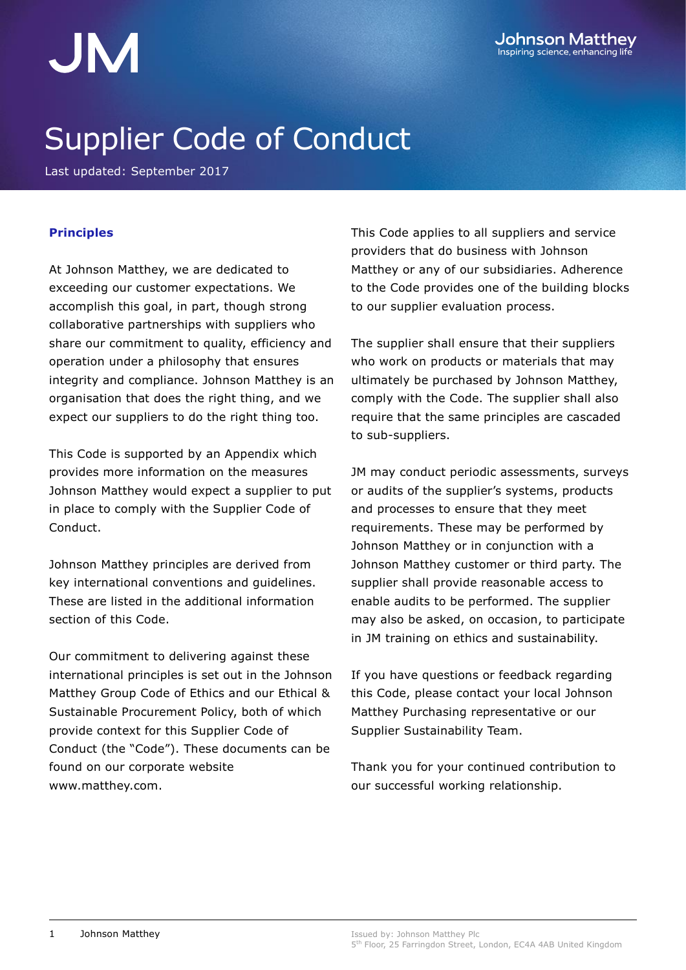## Supplier Code of Conduct

Last updated: September 2017

#### **Principles**

At Johnson Matthey, we are dedicated to exceeding our customer expectations. We accomplish this goal, in part, though strong collaborative partnerships with suppliers who share our commitment to quality, efficiency and operation under a philosophy that ensures integrity and compliance. Johnson Matthey is an organisation that does the right thing, and we expect our suppliers to do the right thing too.

This Code is supported by an Appendix which provides more information on the measures Johnson Matthey would expect a supplier to put in place to comply with the Supplier Code of Conduct.

Johnson Matthey principles are derived from key international conventions and guidelines. These are listed in the additional information section of this Code.

Our commitment to delivering against these international principles is set out in the Johnson Matthey Group Code of Ethics and our Ethical & Sustainable Procurement Policy, both of which provide context for this Supplier Code of Conduct (the "Code"). These documents can be found on our corporate website [www.matthey.com.](file:///C:/Users/shatts01/AppData/Local/Microsoft/Windows/Temporary%20Internet%20Files/Content.Outlook/3YCZC6DX/www.matthey.com)

This Code applies to all suppliers and service providers that do business with Johnson Matthey or any of our subsidiaries. Adherence to the Code provides one of the building blocks to our supplier evaluation process.

The supplier shall ensure that their suppliers who work on products or materials that may ultimately be purchased by Johnson Matthey, comply with the Code. The supplier shall also require that the same principles are cascaded to sub-suppliers.

JM may conduct periodic assessments, surveys or audits of the supplier's systems, products and processes to ensure that they meet requirements. These may be performed by Johnson Matthey or in conjunction with a Johnson Matthey customer or third party. The supplier shall provide reasonable access to enable audits to be performed. The supplier may also be asked, on occasion, to participate in JM training on ethics and sustainability.

If you have questions or feedback regarding this Code, please contact your local Johnson Matthey Purchasing representative or our Supplier Sustainability Team.

Thank you for your continued contribution to our successful working relationship.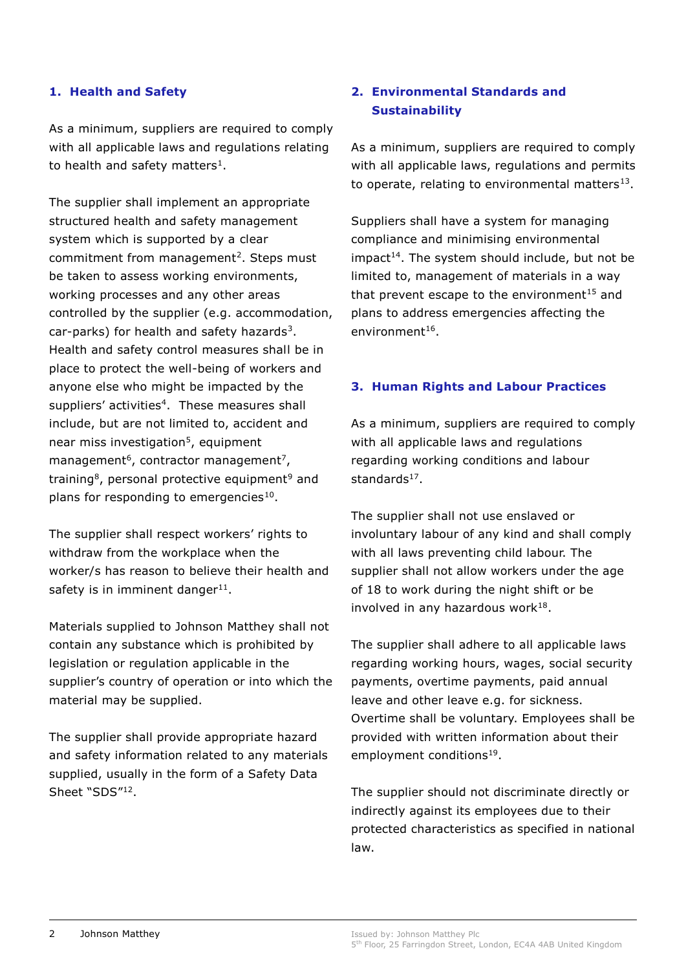#### **1. Health and Safety**

As a minimum, suppliers are required to comply with all applicable laws and regulations relating to health and safety matters<sup>1</sup>.

The supplier shall implement an appropriate structured health and safety management system which is supported by a clear commitment from management<sup>2</sup>. Steps must be taken to assess working environments, working processes and any other areas controlled by the supplier (e.g. accommodation, car-parks) for health and safety hazards<sup>3</sup>. Health and safety control measures shall be in place to protect the well-being of workers and anyone else who might be impacted by the suppliers' activities<sup>4</sup>. These measures shall include, but are not limited to, accident and near miss investigation<sup>5</sup>, equipment management<sup>6</sup>, contractor management<sup>7</sup>, training<sup>8</sup>, personal protective equipment<sup>9</sup> and plans for responding to emergencies<sup>10</sup>.

The supplier shall respect workers' rights to withdraw from the workplace when the worker/s has reason to believe their health and safety is in imminent danger<sup>11</sup>.

Materials supplied to Johnson Matthey shall not contain any substance which is prohibited by legislation or regulation applicable in the supplier's country of operation or into which the material may be supplied.

The supplier shall provide appropriate hazard and safety information related to any materials supplied, usually in the form of a Safety Data Sheet "SDS"<sup>12</sup>.

#### **2. Environmental Standards and Sustainability**

As a minimum, suppliers are required to comply with all applicable laws, regulations and permits to operate, relating to environmental matters $^{13}$ .

Suppliers shall have a system for managing compliance and minimising environmental  $impact<sup>14</sup>$ . The system should include, but not be limited to, management of materials in a way that prevent escape to the environment $15$  and plans to address emergencies affecting the environment<sup>16</sup>.

#### **3. Human Rights and Labour Practices**

As a minimum, suppliers are required to comply with all applicable laws and regulations regarding working conditions and labour standards<sup>17</sup>.

The supplier shall not use enslaved or involuntary labour of any kind and shall comply with all laws preventing child labour. The supplier shall not allow workers under the age of 18 to work during the night shift or be involved in any hazardous work $^{18}$ .

The supplier shall adhere to all applicable laws regarding working hours, wages, social security payments, overtime payments, paid annual leave and other leave e.g. for sickness. Overtime shall be voluntary. Employees shall be provided with written information about their employment conditions<sup>19</sup>.

The supplier should not discriminate directly or indirectly against its employees due to their protected characteristics as specified in national law.

Issued by: Johnson Matthey Plc 5<sup>th</sup> Floor, 25 Farringdon Street, London, EC4A 4AB United Kingdom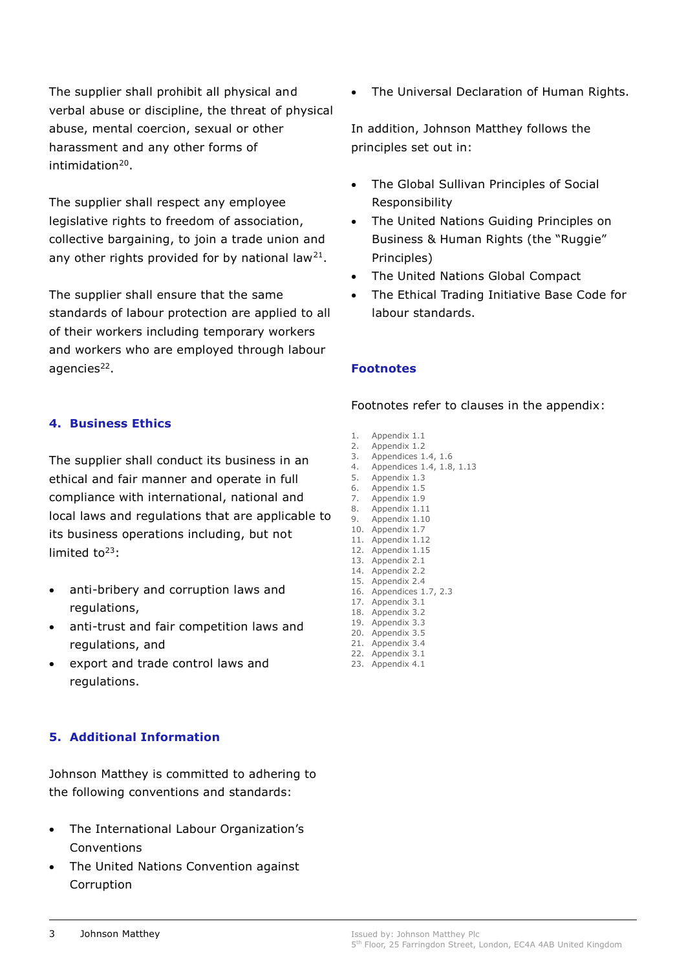The supplier shall prohibit all physical and verbal abuse or discipline, the threat of physical abuse, mental coercion, sexual or other harassment and any other forms of intimidation<sup>20</sup>.

The supplier shall respect any employee legislative rights to freedom of association, collective bargaining, to join a trade union and any other rights provided for by national law<sup>21</sup>.

The supplier shall ensure that the same standards of labour protection are applied to all of their workers including temporary workers and workers who are employed through labour agencies<sup>22</sup>.

#### **4. Business Ethics**

The supplier shall conduct its business in an ethical and fair manner and operate in full compliance with international, national and local laws and regulations that are applicable to its business operations including, but not limited to $23$ :

- anti-bribery and corruption laws and regulations,
- anti-trust and fair competition laws and regulations, and
- export and trade control laws and regulations.

#### **5. Additional Information**

Johnson Matthey is committed to adhering to the following conventions and standards:

- The International Labour Organization's Conventions
- The United Nations Convention against Corruption

The Universal Declaration of Human Rights.

In addition, Johnson Matthey follows the principles set out in:

- The Global Sullivan Principles of Social Responsibility
- The United Nations Guiding Principles on Business & Human Rights (the "Ruggie" Principles)
- The United Nations Global Compact
- The Ethical Trading Initiative Base Code for labour standards.

#### **Footnotes**

Footnotes refer to clauses in the appendix:

- 1. Appendix 1.1
- 2. Appendix 1.2
- 3. Appendices 1.4, 1.6 4. Appendices 1.4, 1.8, 1.13
- 5. Appendix 1.3
- 6. Appendix 1.5
- 7. Appendix 1.9
- 8. Appendix 1.11 9. Appendix 1.10
- 10. Appendix 1.7
- 11. Appendix 1.12
- 12. Appendix 1.15
- 13. Appendix 2.1
- 14. Appendix 2.2
- 15. Appendix 2.4 16. Appendices 1.7, 2.3
- 17. Appendix 3.1
- 18. Appendix 3.2
- 19. Appendix 3.3
- 20. Appendix 3.5 21. Appendix 3.4
- 22. Appendix 3.1
- 23. Appendix 4.1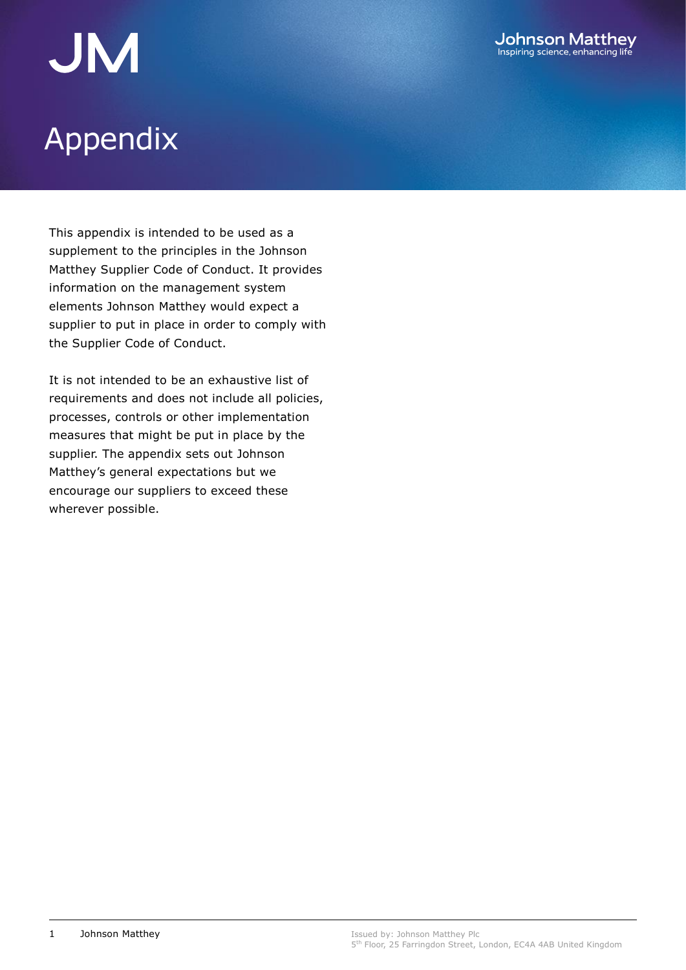# JM<br>Appendix

This appendix is intended to be used as a supplement to the principles in the Johnson Matthey Supplier Code of Conduct. It provides information on the management system elements Johnson Matthey would expect a supplier to put in place in order to comply with the Supplier Code of Conduct.

It is not intended to be an exhaustive list of requirements and does not include all policies, processes, controls or other implementation measures that might be put in place by the supplier. The appendix sets out Johnson Matthey's general expectations but we encourage our suppliers to exceed these wherever possible.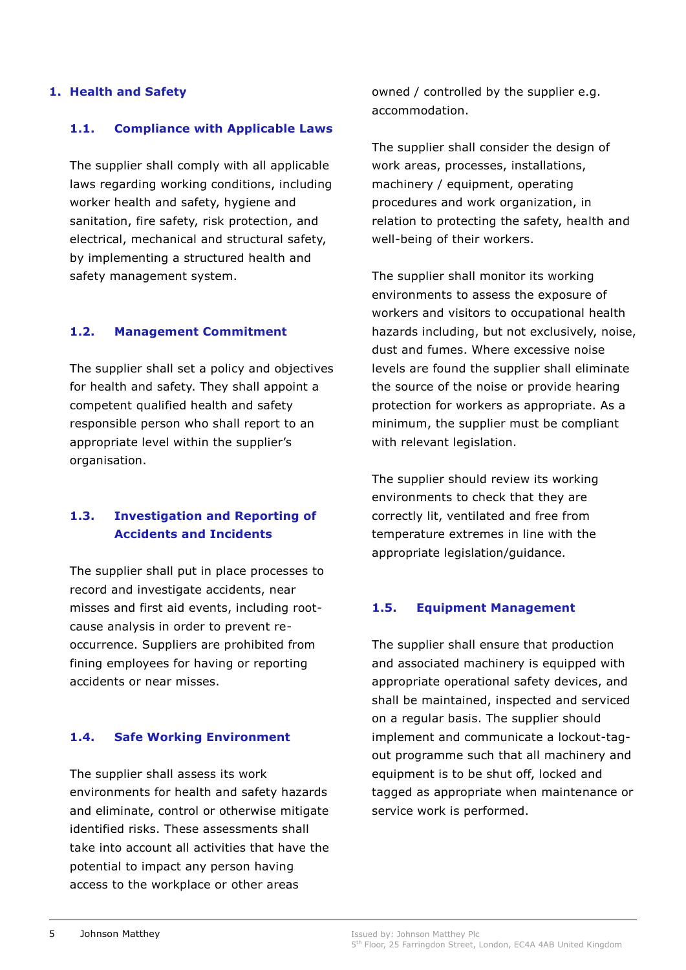#### **1. Health and Safety**

#### **1.1. Compliance with Applicable Laws**

The supplier shall comply with all applicable laws regarding working conditions, including worker health and safety, hygiene and sanitation, fire safety, risk protection, and electrical, mechanical and structural safety, by implementing a structured health and safety management system.

#### **1.2. Management Commitment**

The supplier shall set a policy and objectives for health and safety. They shall appoint a competent qualified health and safety responsible person who shall report to an appropriate level within the supplier's organisation.

#### **1.3. Investigation and Reporting of Accidents and Incidents**

The supplier shall put in place processes to record and investigate accidents, near misses and first aid events, including rootcause analysis in order to prevent reoccurrence. Suppliers are prohibited from fining employees for having or reporting accidents or near misses.

#### **1.4. Safe Working Environment**

The supplier shall assess its work environments for health and safety hazards and eliminate, control or otherwise mitigate identified risks. These assessments shall take into account all activities that have the potential to impact any person having access to the workplace or other areas

owned / controlled by the supplier e.g. accommodation.

The supplier shall consider the design of work areas, processes, installations, machinery / equipment, operating procedures and work organization, in relation to protecting the safety, health and well-being of their workers.

The supplier shall monitor its working environments to assess the exposure of workers and visitors to occupational health hazards including, but not exclusively, noise, dust and fumes. Where excessive noise levels are found the supplier shall eliminate the source of the noise or provide hearing protection for workers as appropriate. As a minimum, the supplier must be compliant with relevant legislation.

The supplier should review its working environments to check that they are correctly lit, ventilated and free from temperature extremes in line with the appropriate legislation/guidance.

#### **1.5. Equipment Management**

The supplier shall ensure that production and associated machinery is equipped with appropriate operational safety devices, and shall be maintained, inspected and serviced on a regular basis. The supplier should implement and communicate a lockout-tagout programme such that all machinery and equipment is to be shut off, locked and tagged as appropriate when maintenance or service work is performed.

Issued by: Johnson Matthey Plc 5<sup>th</sup> Floor, 25 Farringdon Street, London, EC4A 4AB United Kingdom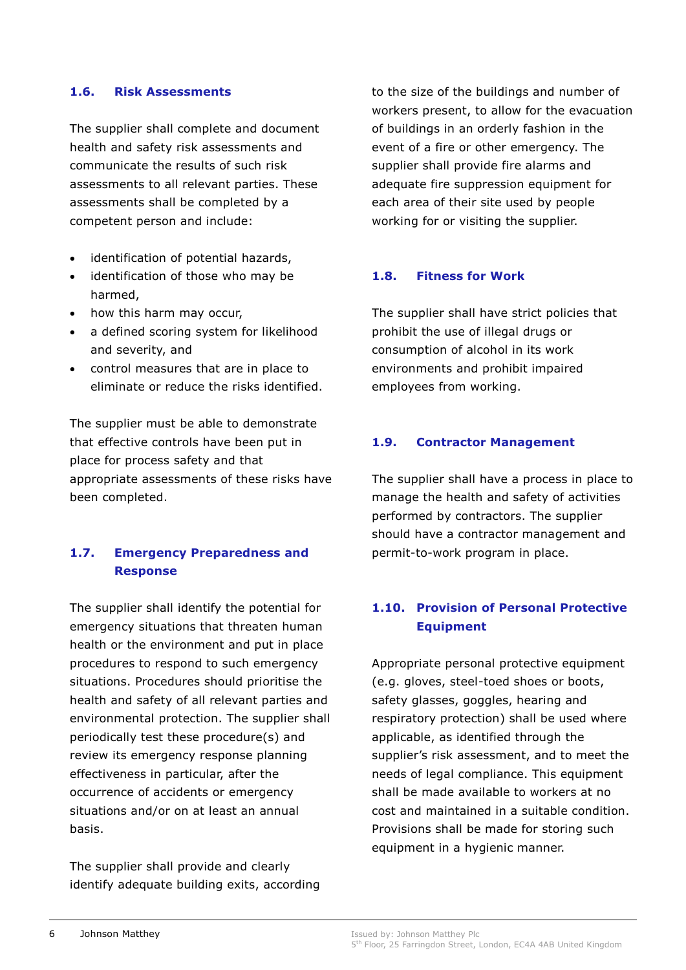#### **1.6. Risk Assessments**

The supplier shall complete and document health and safety risk assessments and communicate the results of such risk assessments to all relevant parties. These assessments shall be completed by a competent person and include:

- identification of potential hazards,
- identification of those who may be harmed,
- how this harm may occur,
- a defined scoring system for likelihood and severity, and
- control measures that are in place to eliminate or reduce the risks identified.

The supplier must be able to demonstrate that effective controls have been put in place for process safety and that appropriate assessments of these risks have been completed.

### **1.7. Emergency Preparedness and Response**

The supplier shall identify the potential for emergency situations that threaten human health or the environment and put in place procedures to respond to such emergency situations. Procedures should prioritise the health and safety of all relevant parties and environmental protection. The supplier shall periodically test these procedure(s) and review its emergency response planning effectiveness in particular, after the occurrence of accidents or emergency situations and/or on at least an annual basis.

The supplier shall provide and clearly identify adequate building exits, according to the size of the buildings and number of workers present, to allow for the evacuation of buildings in an orderly fashion in the event of a fire or other emergency. The supplier shall provide fire alarms and adequate fire suppression equipment for each area of their site used by people working for or visiting the supplier.

#### **1.8. Fitness for Work**

The supplier shall have strict policies that prohibit the use of illegal drugs or consumption of alcohol in its work environments and prohibit impaired employees from working.

#### **1.9. Contractor Management**

The supplier shall have a process in place to manage the health and safety of activities performed by contractors. The supplier should have a contractor management and permit-to-work program in place.

#### **1.10. Provision of Personal Protective Equipment**

Appropriate personal protective equipment (e.g. gloves, steel-toed shoes or boots, safety glasses, goggles, hearing and respiratory protection) shall be used where applicable, as identified through the supplier's risk assessment, and to meet the needs of legal compliance. This equipment shall be made available to workers at no cost and maintained in a suitable condition. Provisions shall be made for storing such equipment in a hygienic manner.

Issued by: Johnson Matthey Plc 5<sup>th</sup> Floor, 25 Farringdon Street, London, EC4A 4AB United Kingdom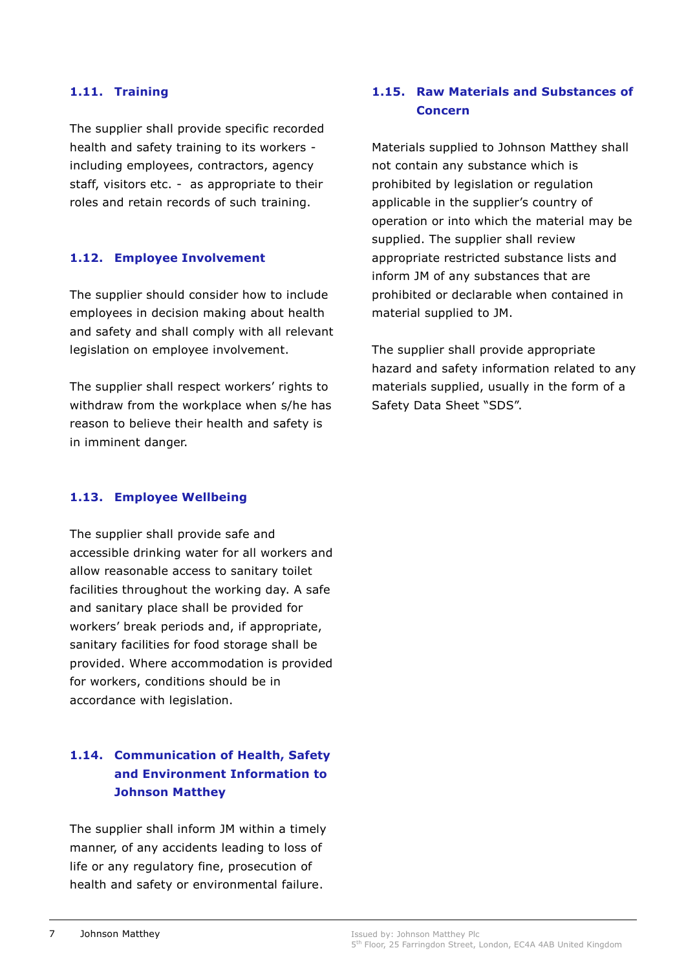#### **1.11. Training**

The supplier shall provide specific recorded health and safety training to its workers including employees, contractors, agency staff, visitors etc. - as appropriate to their roles and retain records of such training.

#### **1.12. Employee Involvement**

The supplier should consider how to include employees in decision making about health and safety and shall comply with all relevant legislation on employee involvement.

The supplier shall respect workers' rights to withdraw from the workplace when s/he has reason to believe their health and safety is in imminent danger.

#### **1.13. Employee Wellbeing**

The supplier shall provide safe and accessible drinking water for all workers and allow reasonable access to sanitary toilet facilities throughout the working day. A safe and sanitary place shall be provided for workers' break periods and, if appropriate, sanitary facilities for food storage shall be provided. Where accommodation is provided for workers, conditions should be in accordance with legislation.

### **1.14. Communication of Health, Safety and Environment Information to Johnson Matthey**

The supplier shall inform JM within a timely manner, of any accidents leading to loss of life or any regulatory fine, prosecution of health and safety or environmental failure.

#### **1.15. Raw Materials and Substances of Concern**

Materials supplied to Johnson Matthey shall not contain any substance which is prohibited by legislation or regulation applicable in the supplier's country of operation or into which the material may be supplied. The supplier shall review appropriate restricted substance lists and inform JM of any substances that are prohibited or declarable when contained in material supplied to JM.

The supplier shall provide appropriate hazard and safety information related to any materials supplied, usually in the form of a Safety Data Sheet "SDS".

Issued by: Johnson Matthey Plc 5<sup>th</sup> Floor, 25 Farringdon Street, London, EC4A 4AB United Kingdom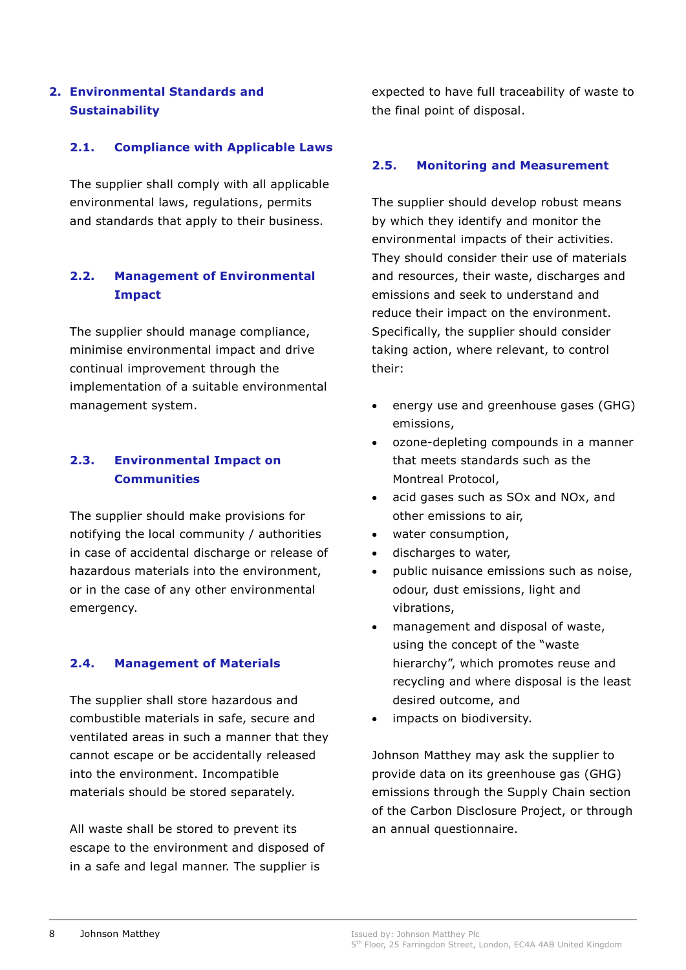### **2. Environmental Standards and Sustainability**

#### **2.1. Compliance with Applicable Laws**

The supplier shall comply with all applicable environmental laws, regulations, permits and standards that apply to their business.

#### **2.2. Management of Environmental Impact**

The supplier should manage compliance, minimise environmental impact and drive continual improvement through the implementation of a suitable environmental management system.

#### **2.3. Environmental Impact on Communities**

The supplier should make provisions for notifying the local community / authorities in case of accidental discharge or release of hazardous materials into the environment, or in the case of any other environmental emergency.

#### **2.4. Management of Materials**

The supplier shall store hazardous and combustible materials in safe, secure and ventilated areas in such a manner that they cannot escape or be accidentally released into the environment. Incompatible materials should be stored separately.

All waste shall be stored to prevent its escape to the environment and disposed of in a safe and legal manner. The supplier is

expected to have full traceability of waste to the final point of disposal.

#### **2.5. Monitoring and Measurement**

The supplier should develop robust means by which they identify and monitor the environmental impacts of their activities. They should consider their use of materials and resources, their waste, discharges and emissions and seek to understand and reduce their impact on the environment. Specifically, the supplier should consider taking action, where relevant, to control their:

- energy use and greenhouse gases (GHG) emissions,
- ozone-depleting compounds in a manner that meets standards such as the Montreal Protocol,
- acid gases such as SOx and NOx, and other emissions to air,
- water consumption,
- discharges to water,
- public nuisance emissions such as noise, odour, dust emissions, light and vibrations,
- management and disposal of waste, using the concept of the "waste hierarchy", which promotes reuse and recycling and where disposal is the least desired outcome, and
- impacts on biodiversity.

Johnson Matthey may ask the supplier to provide data on its greenhouse gas (GHG) emissions through the Supply Chain section of the Carbon Disclosure Project, or through an annual questionnaire.

Issued by: Johnson Matthey Plc 5<sup>th</sup> Floor, 25 Farringdon Street, London, EC4A 4AB United Kingdom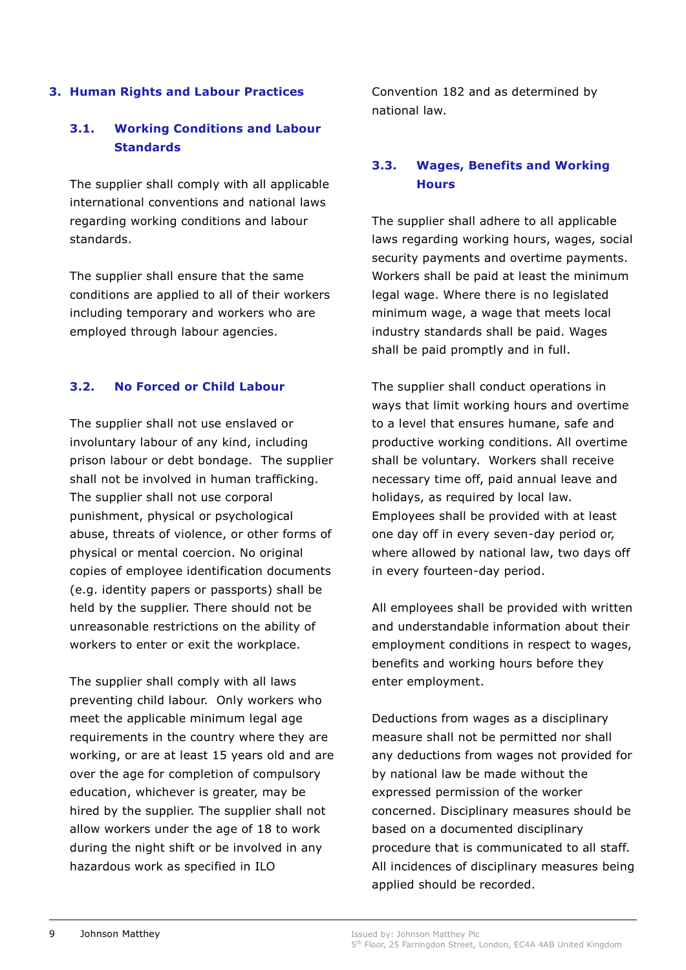#### **3. Human Rights and Labour Practices**

#### **3.1. Working Conditions and Labour Standards**

The supplier shall comply with all applicable international conventions and national laws regarding working conditions and labour standards.

The supplier shall ensure that the same conditions are applied to all of their workers including temporary and workers who are employed through labour agencies.

#### **3.2. No Forced or Child Labour**

The supplier shall not use enslaved or involuntary labour of any kind, including prison labour or debt bondage. The supplier shall not be involved in human trafficking. The supplier shall not use corporal punishment, physical or psychological abuse, threats of violence, or other forms of physical or mental coercion. No original copies of employee identification documents (e.g. identity papers or passports) shall be held by the supplier. There should not be unreasonable restrictions on the ability of workers to enter or exit the workplace.

The supplier shall comply with all laws preventing child labour. Only workers who meet the applicable minimum legal age requirements in the country where they are working, or are at least 15 years old and are over the age for completion of compulsory education, whichever is greater, may be hired by the supplier. The supplier shall not allow workers under the age of 18 to work during the night shift or be involved in any hazardous work as specified in ILO

Convention 182 and as determined by national law.

#### **3.3. Wages, Benefits and Working Hours**

The supplier shall adhere to all applicable laws regarding working hours, wages, social security payments and overtime payments. Workers shall be paid at least the minimum legal wage. Where there is no legislated minimum wage, a wage that meets local industry standards shall be paid. Wages shall be paid promptly and in full.

The supplier shall conduct operations in ways that limit working hours and overtime to a level that ensures humane, safe and productive working conditions. All overtime shall be voluntary. Workers shall receive necessary time off, paid annual leave and holidays, as required by local law. Employees shall be provided with at least one day off in every seven-day period or, where allowed by national law, two days off in every fourteen-day period.

All employees shall be provided with written and understandable information about their employment conditions in respect to wages, benefits and working hours before they enter employment.

Deductions from wages as a disciplinary measure shall not be permitted nor shall any deductions from wages not provided for by national law be made without the expressed permission of the worker concerned. Disciplinary measures should be based on a documented disciplinary procedure that is communicated to all staff. All incidences of disciplinary measures being applied should be recorded.

Issued by: Johnson Matthey Plc

<sup>5&</sup>lt;sup>th</sup> Floor, 25 Farringdon Street, London, EC4A 4AB United Kingdom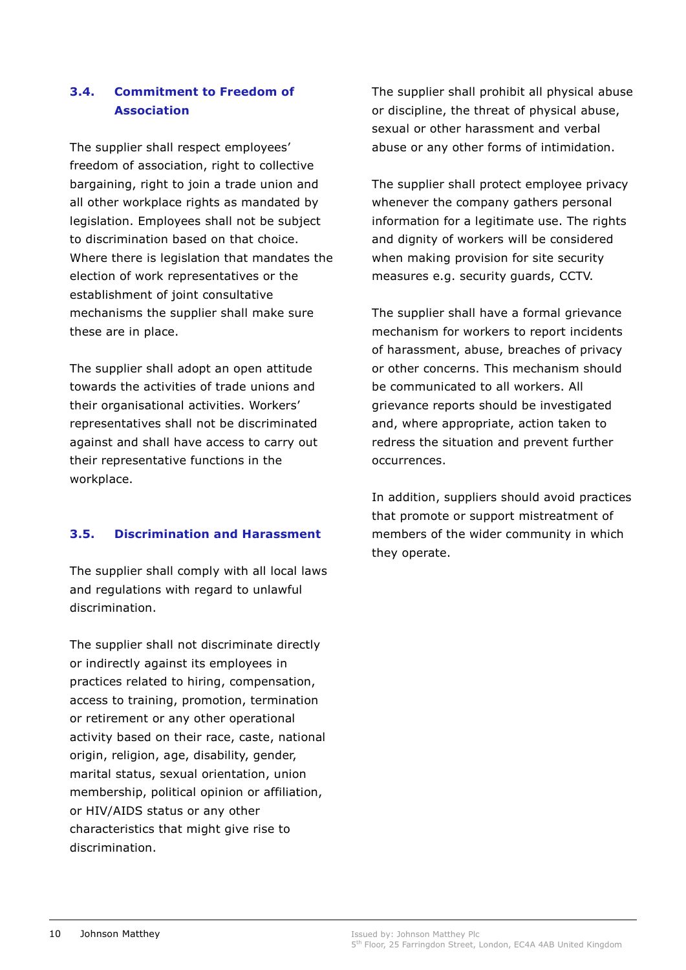#### **3.4. Commitment to Freedom of Association**

The supplier shall respect employees' freedom of association, right to collective bargaining, right to join a trade union and all other workplace rights as mandated by legislation. Employees shall not be subject to discrimination based on that choice. Where there is legislation that mandates the election of work representatives or the establishment of joint consultative mechanisms the supplier shall make sure these are in place.

The supplier shall adopt an open attitude towards the activities of trade unions and their organisational activities. Workers' representatives shall not be discriminated against and shall have access to carry out their representative functions in the workplace.

#### **3.5. Discrimination and Harassment**

The supplier shall comply with all local laws and regulations with regard to unlawful discrimination.

The supplier shall not discriminate directly or indirectly against its employees in practices related to hiring, compensation, access to training, promotion, termination or retirement or any other operational activity based on their race, caste, national origin, religion, age, disability, gender, marital status, sexual orientation, union membership, political opinion or affiliation, or HIV/AIDS status or any other characteristics that might give rise to discrimination.

The supplier shall prohibit all physical abuse or discipline, the threat of physical abuse, sexual or other harassment and verbal abuse or any other forms of intimidation.

The supplier shall protect employee privacy whenever the company gathers personal information for a legitimate use. The rights and dignity of workers will be considered when making provision for site security measures e.g. security guards, CCTV.

The supplier shall have a formal grievance mechanism for workers to report incidents of harassment, abuse, breaches of privacy or other concerns. This mechanism should be communicated to all workers. All grievance reports should be investigated and, where appropriate, action taken to redress the situation and prevent further occurrences.

In addition, suppliers should avoid practices that promote or support mistreatment of members of the wider community in which they operate.